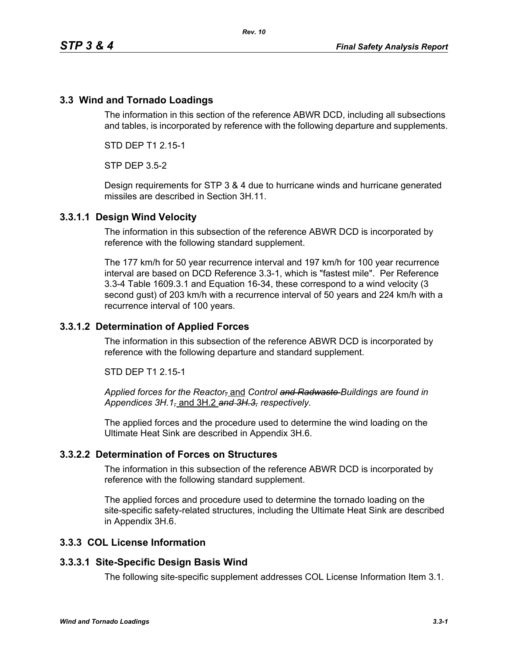# **3.3 Wind and Tornado Loadings**

The information in this section of the reference ABWR DCD, including all subsections and tables, is incorporated by reference with the following departure and supplements.

STD DEP T1 2.15-1

STP DEP 3.5-2

Design requirements for STP 3 & 4 due to hurricane winds and hurricane generated missiles are described in Section 3H.11.

### **3.3.1.1 Design Wind Velocity**

The information in this subsection of the reference ABWR DCD is incorporated by reference with the following standard supplement.

The 177 km/h for 50 year recurrence interval and 197 km/h for 100 year recurrence interval are based on DCD Reference 3.3-1, which is "fastest mile". Per Reference 3.3-4 Table 1609.3.1 and Equation 16-34, these correspond to a wind velocity (3 second gust) of 203 km/h with a recurrence interval of 50 years and 224 km/h with a recurrence interval of 100 years.

### **3.3.1.2 Determination of Applied Forces**

The information in this subsection of the reference ABWR DCD is incorporated by reference with the following departure and standard supplement.

STD DEP T1 2.15-1

*Applied forces for the Reactor,* and *Control and Radwaste Buildings are found in Appendices 3H.1,* and 3H.2 *and 3H.3, respectively.*

The applied forces and the procedure used to determine the wind loading on the Ultimate Heat Sink are described in Appendix 3H.6.

### **3.3.2.2 Determination of Forces on Structures**

The information in this subsection of the reference ABWR DCD is incorporated by reference with the following standard supplement.

The applied forces and procedure used to determine the tornado loading on the site-specific safety-related structures, including the Ultimate Heat Sink are described in Appendix 3H.6.

### **3.3.3 COL License Information**

#### **3.3.3.1 Site-Specific Design Basis Wind**

The following site-specific supplement addresses COL License Information Item 3.1.